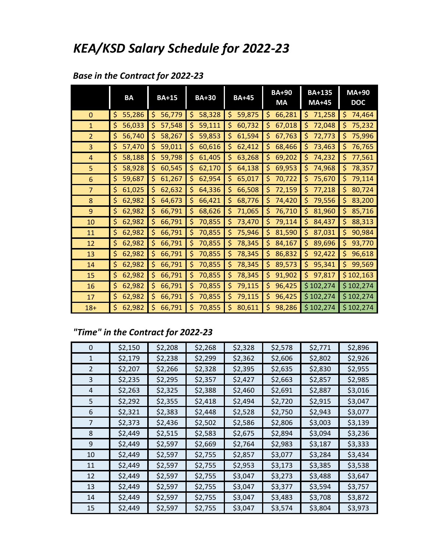## *KEA/KSD Salary Schedule for 2022-23*

|                | <b>BA</b>    | <b>BA+15</b> | <b>BA+30</b> | <b>BA+45</b> | <b>BA+90</b><br><b>MA</b> | <b>BA+135</b><br><b>MA+45</b> | <b>MA+90</b><br><b>DOC</b> |
|----------------|--------------|--------------|--------------|--------------|---------------------------|-------------------------------|----------------------------|
| $\mathbf 0$    | \$           | \$           | \$           | 59,875       | \$                        | \$                            | \$                         |
|                | 55,286       | 56,779       | 58,328       | \$           | 66,281                    | 71,258                        | 74,464                     |
| $\mathbf{1}$   | \$           | 57,548       | 59,111       | 60,732       | 67,018                    | \$                            | 75,232                     |
|                | 56,033       | \$           | \$           | \$           | \$                        | 72,048                        | Ś                          |
| $\overline{2}$ | 56,740<br>\$ | 58,267<br>\$ | 59,853       | 61,594<br>Ś  | 67,763<br>\$              | 72,773<br>\$                  | 75,996<br>Ś                |
| $\overline{3}$ | 57,470       | 59,011       | 60,616       | 62,412       | 68,466                    | 73,463                        | 76,765                     |
|                | \$           | Ś            | Ś            | \$           | \$                        | S                             | \$                         |
| $\overline{4}$ | 58,188       | 59,798       | 61,405       | 63,268       | 69,202                    | 74,232                        | 77,561                     |
|                | \$           | \$           | Ś            | \$           | \$                        | \$                            | S                          |
| 5              | 58,928       | 60,545       | 62,170       | 64,138       | \$                        | 74,968                        | 78,357                     |
|                | \$           | \$           | \$           | \$           | 69,953                    | \$                            | \$                         |
| 6              | \$           | 61,267       | 62,954       | 65,017       | 70,722                    | \$                            | 79,114                     |
|                | 59,687       | \$           | Ś            | S            | \$                        | 75,670                        | S                          |
| $\overline{7}$ | 61,025       | 62,632       | 64,336       | 66,508       | 72,159                    | 77,218                        | 80,724                     |
|                | \$           | Ś            | Ś            | S            | Ś                         | \$                            | S                          |
| 8              | 62,982       | 64,673       | 66,421       | 68,776       | 74,420                    | 79,556                        | 83,200                     |
|                | \$           | Ś            | Ś            | \$           | \$                        | \$                            | Ś                          |
| $\overline{9}$ | 62,982       | 66,791       | 68,626       | 71,065       | 76,710                    | 81,960                        | 85,716                     |
|                | \$           | \$           | \$           | \$           | \$                        | \$                            | \$                         |
| 10             | 62,982       | 66,791       | 70,855       | 73,470       | 79,114                    | \$                            | 88,313                     |
|                | \$           | Ś            | \$           | \$           | Ś                         | 84,437                        | Ś                          |
| 11             | \$           | 66,791       | 70,855       | 75,946       | 81,590                    | 87,031                        | 90,984                     |
|                | 62,982       | \$           | S            | S            | Ś                         | S                             | S                          |
| 12             | 62,982       | 66,791       | 70,855       | 78,345       | 84,167                    | 89,696                        | 93,770                     |
|                | \$           | \$           | Ś            | \$           | \$                        | \$                            | Ś.                         |
| 13             | 62,982       | 66,791       | 70,855       | 78,345       | 86,832                    | 92,422                        | 96,618                     |
|                | \$           | Ş            | \$           | \$           | Ş                         | \$                            | \$                         |
| 14             | 62,982       | 66,791       | 70,855       | 78,345       | 89,573                    | \$                            | 99,569                     |
|                | \$           | \$           | \$           | \$           | \$                        | 95,341                        | \$                         |
| 15             | 62,982<br>\$ | 66,791<br>Ş  | 70,855<br>\$ | 78,345<br>\$ | 91,902<br>\$              | 97,817<br>\$                  | \$102,163                  |
| 16             | 62,982<br>\$ | 66,791<br>\$ | 70,855<br>Ś  | 79,115<br>\$ | 96,425<br>\$              | \$102,274                     | \$102,274                  |
| 17             | 62,982<br>\$ | 66,791<br>\$ | 70,855<br>\$ | 79,115<br>S  | 96,425<br>\$              | \$102,274                     | \$102,274                  |
| $18 +$         | \$<br>62,982 | \$<br>66,791 | Ś<br>70,855  | 80,611<br>Ś  | \$<br>98,286              | \$102,274                     | \$102,274                  |

## *Base in the Contract for 2022-23*

## *"Time" in the Contract for 2022-23*

| $\Omega$       | \$2,150 | \$2,208 | \$2,268 | \$2,328 | \$2,578 | \$2,771 | \$2,896 |
|----------------|---------|---------|---------|---------|---------|---------|---------|
| 1              | \$2,179 | \$2,238 | \$2,299 | \$2,362 | \$2,606 | \$2,802 | \$2,926 |
| $\overline{2}$ | \$2,207 | \$2,266 | \$2,328 | \$2,395 | \$2,635 | \$2,830 | \$2,955 |
| 3              | \$2,235 | \$2,295 | \$2,357 | \$2,427 | \$2,663 | \$2,857 | \$2,985 |
| 4              | \$2,263 | \$2,325 | \$2,388 | \$2,460 | \$2,691 | \$2,887 | \$3,016 |
| 5              | \$2,292 | \$2,355 | \$2,418 | \$2,494 | \$2,720 | \$2,915 | \$3,047 |
| 6              | \$2,321 | \$2,383 | \$2,448 | \$2,528 | \$2,750 | \$2,943 | \$3,077 |
| 7              | \$2,373 | \$2,436 | \$2,502 | \$2,586 | \$2,806 | \$3,003 | \$3,139 |
| 8              | \$2,449 | \$2,515 | \$2,583 | \$2,675 | \$2,894 | \$3,094 | \$3,236 |
| 9              | \$2,449 | \$2,597 | \$2,669 | \$2,764 | \$2,983 | \$3,187 | \$3,333 |
| 10             | \$2,449 | \$2,597 | \$2,755 | \$2,857 | \$3,077 | \$3,284 | \$3,434 |
| 11             | \$2,449 | \$2,597 | \$2,755 | \$2,953 | \$3,173 | \$3,385 | \$3,538 |
| 12             | \$2,449 | \$2,597 | \$2,755 | \$3,047 | \$3,273 | \$3,488 | \$3,647 |
| 13             | \$2,449 | \$2,597 | \$2,755 | \$3,047 | \$3,377 | \$3,594 | \$3,757 |
| 14             | \$2,449 | \$2,597 | \$2,755 | \$3,047 | \$3,483 | \$3,708 | \$3,872 |
| 15             | \$2,449 | \$2,597 | \$2,755 | \$3,047 | \$3,574 | \$3,804 | \$3,973 |